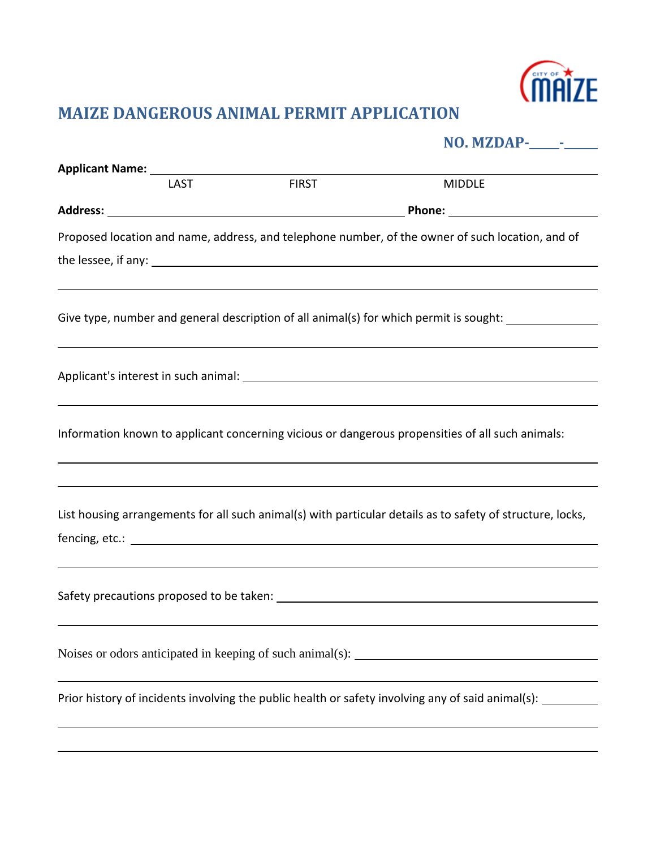

## **MAIZE DANGEROUS ANIMAL PERMIT APPLICATION**

|             |              | NO. MZDAP-<br><u> </u>                                                                                          |
|-------------|--------------|-----------------------------------------------------------------------------------------------------------------|
|             |              |                                                                                                                 |
| <b>LAST</b> | <b>FIRST</b> | <b>MIDDLE</b>                                                                                                   |
|             |              |                                                                                                                 |
|             |              | Proposed location and name, address, and telephone number, of the owner of such location, and of                |
|             |              |                                                                                                                 |
|             |              |                                                                                                                 |
|             |              | Give type, number and general description of all animal(s) for which permit is sought: ____________             |
|             |              |                                                                                                                 |
|             |              |                                                                                                                 |
|             |              |                                                                                                                 |
|             |              | Information known to applicant concerning vicious or dangerous propensities of all such animals:                |
|             |              |                                                                                                                 |
|             |              |                                                                                                                 |
|             |              |                                                                                                                 |
|             |              | List housing arrangements for all such animal(s) with particular details as to safety of structure, locks,      |
|             |              |                                                                                                                 |
|             |              |                                                                                                                 |
|             |              | Safety precautions proposed to be taken: Notified and the same state of the same state of the same state of the |
|             |              |                                                                                                                 |
|             |              |                                                                                                                 |
|             |              |                                                                                                                 |
|             |              | Prior history of incidents involving the public health or safety involving any of said animal(s):               |
|             |              |                                                                                                                 |
|             |              |                                                                                                                 |